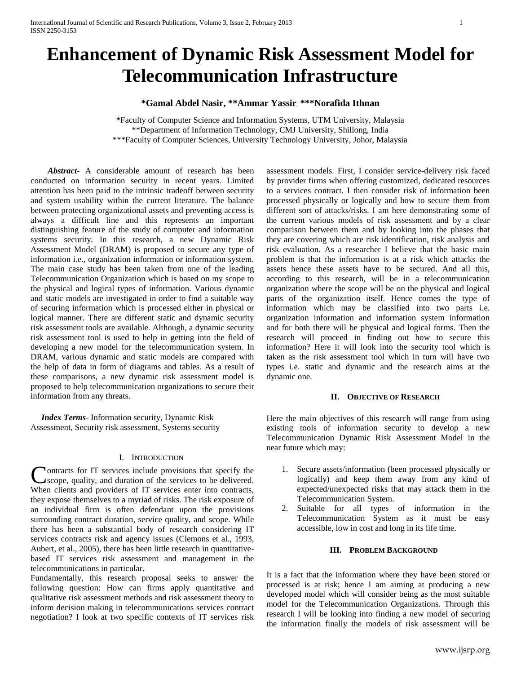# **Enhancement of Dynamic Risk Assessment Model for Telecommunication Infrastructure**

**\*Gamal Abdel Nasir, \*\*Ammar Yassir**, **\*\*\*Norafida Ithnan**

\*Faculty of Computer Science and Information Systems, UTM University, Malaysia \*\*Department of Information Technology, CMJ University, Shillong, India \*\*\*Faculty of Computer Sciences, University Technology University, Johor, Malaysia

 *Abstract***-** A considerable amount of research has been conducted on information security in recent years. Limited attention has been paid to the intrinsic tradeoff between security and system usability within the current literature. The balance between protecting organizational assets and preventing access is always a difficult line and this represents an important distinguishing feature of the study of computer and information systems security. In this research, a new Dynamic Risk Assessment Model (DRAM) is proposed to secure any type of information i.e., organization information or information system. The main case study has been taken from one of the leading Telecommunication Organization which is based on my scope to the physical and logical types of information. Various dynamic and static models are investigated in order to find a suitable way of securing information which is processed either in physical or logical manner. There are different static and dynamic security risk assessment tools are available. Although, a dynamic security risk assessment tool is used to help in getting into the field of developing a new model for the telecommunication system. In DRAM, various dynamic and static models are compared with the help of data in form of diagrams and tables. As a result of these comparisons, a new dynamic risk assessment model is proposed to help telecommunication organizations to secure their information from any threats.

 *Index Terms*- Information security, Dynamic Risk Assessment, Security risk assessment, Systems security

# I. INTRODUCTION

ontracts for IT services include provisions that specify the scope, quality, and duration of the services to be delivered. Contracts for IT services include provisions that specify the scope, quality, and duration of the services to be delivered.<br>When clients and providers of IT services enter into contracts, they expose themselves to a myriad of risks. The risk exposure of an individual firm is often defendant upon the provisions surrounding contract duration, service quality, and scope. While there has been a substantial body of research considering IT services contracts risk and agency issues (Clemons et al., 1993, Aubert, et al., 2005), there has been little research in quantitativebased IT services risk assessment and management in the telecommunications in particular.

Fundamentally, this research proposal seeks to answer the following question: How can firms apply quantitative and qualitative risk assessment methods and risk assessment theory to inform decision making in telecommunications services contract negotiation? I look at two specific contexts of IT services risk assessment models. First, I consider service-delivery risk faced by provider firms when offering customized, dedicated resources to a services contract. I then consider risk of information been processed physically or logically and how to secure them from different sort of attacks/risks. I am here demonstrating some of the current various models of risk assessment and by a clear comparison between them and by looking into the phases that they are covering which are risk identification, risk analysis and risk evaluation. As a researcher I believe that the basic main problem is that the information is at a risk which attacks the assets hence these assets have to be secured. And all this, according to this research, will be in a telecommunication organization where the scope will be on the physical and logical parts of the organization itself. Hence comes the type of information which may be classified into two parts i.e. organization information and information system information and for both there will be physical and logical forms. Then the research will proceed in finding out how to secure this information? Here it will look into the security tool which is taken as the risk assessment tool which in turn will have two types i.e. static and dynamic and the research aims at the dynamic one.

#### **II. OBJECTIVE OF RESEARCH**

Here the main objectives of this research will range from using existing tools of information security to develop a new Telecommunication Dynamic Risk Assessment Model in the near future which may:

- 1. Secure assets/information (been processed physically or logically) and keep them away from any kind of expected/unexpected risks that may attack them in the Telecommunication System.
- 2. Suitable for all types of information in the Telecommunication System as it must be easy accessible, low in cost and long in its life time.

#### **III. PROBLEM BACKGROUND**

It is a fact that the information where they have been stored or processed is at risk; hence I am aiming at producing a new developed model which will consider being as the most suitable model for the Telecommunication Organizations. Through this research I will be looking into finding a new model of securing the information finally the models of risk assessment will be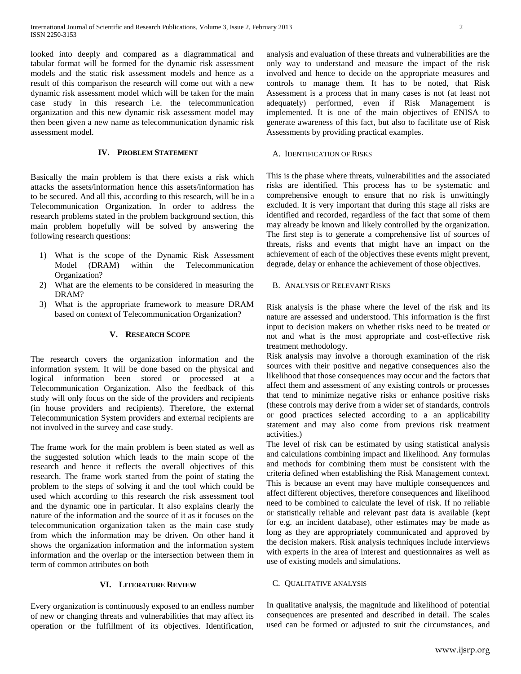looked into deeply and compared as a diagrammatical and tabular format will be formed for the dynamic risk assessment models and the static risk assessment models and hence as a result of this comparison the research will come out with a new dynamic risk assessment model which will be taken for the main case study in this research i.e. the telecommunication organization and this new dynamic risk assessment model may then been given a new name as telecommunication dynamic risk assessment model.

# **IV. PROBLEM STATEMENT**

Basically the main problem is that there exists a risk which attacks the assets/information hence this assets/information has to be secured. And all this, according to this research, will be in a Telecommunication Organization. In order to address the research problems stated in the problem background section, this main problem hopefully will be solved by answering the following research questions:

- 1) What is the scope of the Dynamic Risk Assessment Model (DRAM) within the Telecommunication Organization?
- 2) What are the elements to be considered in measuring the DRAM?
- 3) What is the appropriate framework to measure DRAM based on context of Telecommunication Organization?

#### **V. RESEARCH SCOPE**

The research covers the organization information and the information system. It will be done based on the physical and logical information been stored or processed at a Telecommunication Organization. Also the feedback of this study will only focus on the side of the providers and recipients (in house providers and recipients). Therefore, the external Telecommunication System providers and external recipients are not involved in the survey and case study.

The frame work for the main problem is been stated as well as the suggested solution which leads to the main scope of the research and hence it reflects the overall objectives of this research. The frame work started from the point of stating the problem to the steps of solving it and the tool which could be used which according to this research the risk assessment tool and the dynamic one in particular. It also explains clearly the nature of the information and the source of it as it focuses on the telecommunication organization taken as the main case study from which the information may be driven. On other hand it shows the organization information and the information system information and the overlap or the intersection between them in term of common attributes on both

# **VI. LITERATURE REVIEW**

Every organization is continuously exposed to an endless number of new or changing threats and vulnerabilities that may affect its operation or the fulfillment of its objectives. Identification,

analysis and evaluation of these threats and vulnerabilities are the only way to understand and measure the impact of the risk involved and hence to decide on the appropriate measures and controls to manage them. It has to be noted, that Risk Assessment is a process that in many cases is not (at least not adequately) performed, even if Risk Management is implemented. It is one of the main objectives of ENISA to generate awareness of this fact, but also to facilitate use of Risk Assessments by providing practical examples.

#### A. IDENTIFICATION OF RISKS

This is the phase where threats, vulnerabilities and the associated risks are identified. This process has to be systematic and comprehensive enough to ensure that no risk is unwittingly excluded. It is very important that during this stage all risks are identified and recorded, regardless of the fact that some of them may already be known and likely controlled by the organization. The first step is to generate a comprehensive list of sources of threats, risks and events that might have an impact on the achievement of each of the objectives these events might prevent, degrade, delay or enhance the achievement of those objectives.

# B. ANALYSIS OF RELEVANT RISKS

Risk analysis is the phase where the level of the risk and its nature are assessed and understood. This information is the first input to decision makers on whether risks need to be treated or not and what is the most appropriate and cost-effective risk treatment methodology.

Risk analysis may involve a thorough examination of the risk sources with their positive and negative consequences also the likelihood that those consequences may occur and the factors that affect them and assessment of any existing controls or processes that tend to minimize negative risks or enhance positive risks (these controls may derive from a wider set of standards, controls or good practices selected according to a an applicability statement and may also come from previous risk treatment activities.)

The level of risk can be estimated by using statistical analysis and calculations combining impact and likelihood. Any formulas and methods for combining them must be consistent with the criteria defined when establishing the Risk Management context. This is because an event may have multiple consequences and affect different objectives, therefore consequences and likelihood need to be combined to calculate the level of risk. If no reliable or statistically reliable and relevant past data is available (kept for e.g. an incident database), other estimates may be made as long as they are appropriately communicated and approved by the decision makers. Risk analysis techniques include interviews with experts in the area of interest and questionnaires as well as use of existing models and simulations.

# C. QUALITATIVE ANALYSIS

In qualitative analysis, the magnitude and likelihood of potential consequences are presented and described in detail. The scales used can be formed or adjusted to suit the circumstances, and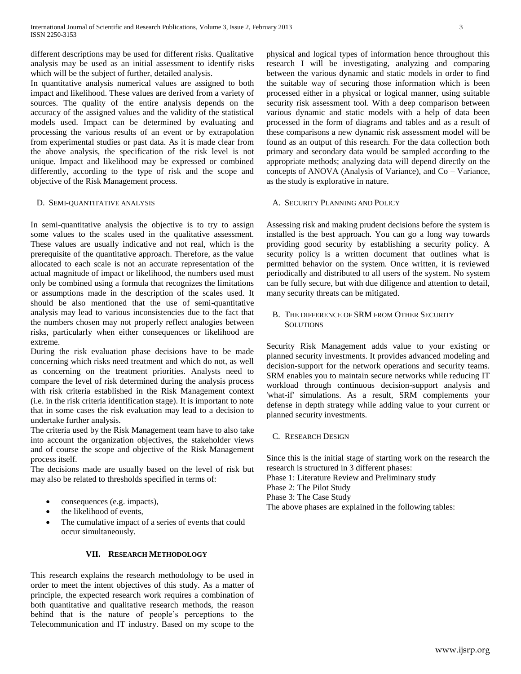different descriptions may be used for different risks. Qualitative analysis may be used as an initial assessment to identify risks which will be the subject of further, detailed analysis.

In quantitative analysis numerical values are assigned to both impact and likelihood. These values are derived from a variety of sources. The quality of the entire analysis depends on the accuracy of the assigned values and the validity of the statistical models used. Impact can be determined by evaluating and processing the various results of an event or by extrapolation from experimental studies or past data. As it is made clear from the above analysis, the specification of the risk level is not unique. Impact and likelihood may be expressed or combined differently, according to the type of risk and the scope and objective of the Risk Management process.

#### D. SEMI-QUANTITATIVE ANALYSIS

In semi-quantitative analysis the objective is to try to assign some values to the scales used in the qualitative assessment. These values are usually indicative and not real, which is the prerequisite of the quantitative approach. Therefore, as the value allocated to each scale is not an accurate representation of the actual magnitude of impact or likelihood, the numbers used must only be combined using a formula that recognizes the limitations or assumptions made in the description of the scales used. It should be also mentioned that the use of semi-quantitative analysis may lead to various inconsistencies due to the fact that the numbers chosen may not properly reflect analogies between risks, particularly when either consequences or likelihood are extreme.

During the risk evaluation phase decisions have to be made concerning which risks need treatment and which do not, as well as concerning on the treatment priorities. Analysts need to compare the level of risk determined during the analysis process with risk criteria established in the Risk Management context (i.e. in the risk criteria identification stage). It is important to note that in some cases the risk evaluation may lead to a decision to undertake further analysis.

The criteria used by the Risk Management team have to also take into account the organization objectives, the stakeholder views and of course the scope and objective of the Risk Management process itself.

The decisions made are usually based on the level of risk but may also be related to thresholds specified in terms of:

- consequences (e.g. impacts),
- the likelihood of events,
- The cumulative impact of a series of events that could occur simultaneously.

## **VII. RESEARCH METHODOLOGY**

This research explains the research methodology to be used in order to meet the intent objectives of this study. As a matter of principle, the expected research work requires a combination of both quantitative and qualitative research methods, the reason behind that is the nature of people's perceptions to the Telecommunication and IT industry. Based on my scope to the physical and logical types of information hence throughout this research I will be investigating, analyzing and comparing between the various dynamic and static models in order to find the suitable way of securing those information which is been processed either in a physical or logical manner, using suitable security risk assessment tool. With a deep comparison between various dynamic and static models with a help of data been processed in the form of diagrams and tables and as a result of these comparisons a new dynamic risk assessment model will be found as an output of this research. For the data collection both primary and secondary data would be sampled according to the appropriate methods; analyzing data will depend directly on the concepts of ANOVA (Analysis of Variance), and Co – Variance, as the study is explorative in nature.

#### A. SECURITY PLANNING AND POLICY

Assessing risk and making prudent decisions before the system is installed is the best approach. You can go a long way towards providing good security by establishing a security policy. A security policy is a written document that outlines what is permitted behavior on the system. Once written, it is reviewed periodically and distributed to all users of the system. No system can be fully secure, but with due diligence and attention to detail, many security threats can be mitigated.

# B. THE DIFFERENCE OF SRM FROM OTHER SECURITY **SOLUTIONS**

Security Risk Management adds value to your existing or planned security investments. It provides advanced modeling and decision-support for the network operations and security teams. SRM enables you to maintain secure networks while reducing IT workload through continuous decision-support analysis and 'what-if' simulations. As a result, SRM complements your defense in depth strategy while adding value to your current or planned security investments.

C. RESEARCH DESIGN

Since this is the initial stage of starting work on the research the research is structured in 3 different phases:

Phase 1: Literature Review and Preliminary study

Phase 2: The Pilot Study

Phase 3: The Case Study

The above phases are explained in the following tables: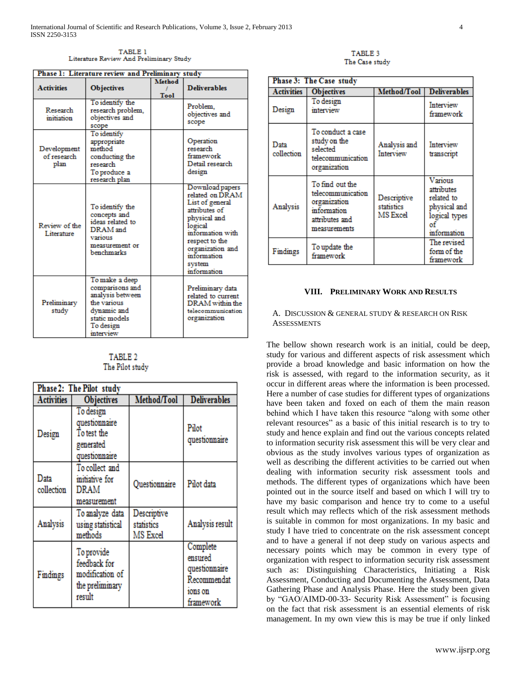TABLE 1 Literature Review And Preliminary Study

| Phase 1: Literature review and Preliminary study |                                                                                                                                |                       |                                                                                                                                                                                                     |  |  |  |  |
|--------------------------------------------------|--------------------------------------------------------------------------------------------------------------------------------|-----------------------|-----------------------------------------------------------------------------------------------------------------------------------------------------------------------------------------------------|--|--|--|--|
| <b>Activities</b>                                | <b>Objectives</b>                                                                                                              | <b>Method</b><br>Tool | <b>Deliverables</b>                                                                                                                                                                                 |  |  |  |  |
| Research<br>initiation                           | To identify the<br>research problem,<br>objectives and<br>scope                                                                |                       | Problem.<br>objectives and<br>scope                                                                                                                                                                 |  |  |  |  |
| Development<br>of research<br>plan               | To identify<br>appropriate<br>method<br>conducting the<br>research<br>To produce a<br>research plan                            |                       | Operation<br>research<br>framework<br>Detail research<br>design                                                                                                                                     |  |  |  |  |
| Review of the<br>Literature                      | To identify the<br>concepts and<br>ideas related to<br>DRAM and<br>various<br>measurement or<br>benchmarks                     |                       | Download papers<br>related on DRAM<br>List of general<br>attributes of<br>physical and<br>logical<br>information with<br>respect to the<br>organization and<br>information<br>system<br>information |  |  |  |  |
| Preliminary<br>study                             | To make a deep<br>comparisons and<br>analysis between<br>the various<br>dynamic and<br>static models<br>To design<br>interview |                       | Preliminary data<br>related to current<br>DRAM within the<br>telecommunication<br>organization                                                                                                      |  |  |  |  |

## TABLE 2 The Pilot study

| Phase 2: The Pilot study |                                                                            |                                       |                                                                             |  |  |  |
|--------------------------|----------------------------------------------------------------------------|---------------------------------------|-----------------------------------------------------------------------------|--|--|--|
| <b>Activities</b>        | <b>Objectives</b>                                                          | Method/Tool                           | <b>Deliverables</b>                                                         |  |  |  |
| Design                   | To design<br>questionnaire<br>To test the<br>generated<br>questionnaire    |                                       | Pilot<br>questionnaire                                                      |  |  |  |
| Data<br>collection       | To collect and<br>initiative for<br>DRAM<br>measurement                    | Questionnaire                         | Pilot data                                                                  |  |  |  |
| Analysis                 | To analyze data<br>using statistical<br>methods                            | Descriptive<br>statistics<br>MS Excel | Analysis result                                                             |  |  |  |
| Findings                 | To provide<br>feedback for<br>modification of<br>the preliminary<br>result |                                       | Complete<br>ensured<br>questionnaire<br>Recommendat<br>ions on<br>framework |  |  |  |

TABLE 3 The Case study

| Phase 3: The Case study |                                                                                                       |                                       |                                                                                           |  |  |  |
|-------------------------|-------------------------------------------------------------------------------------------------------|---------------------------------------|-------------------------------------------------------------------------------------------|--|--|--|
| Activities              | <b>Objectives</b>                                                                                     | Method/Tool                           | <b>Deliverables</b>                                                                       |  |  |  |
| Design                  | To design<br>interview                                                                                |                                       | Interview<br>framework                                                                    |  |  |  |
| Data<br>collection      | To conduct a case<br>study on the<br>selected<br>telecommunication<br>organization                    | Analysis and<br>Interview             | Interview<br>transcript                                                                   |  |  |  |
| Analysis                | To find out the<br>telecommunication<br>organization<br>information<br>attributes and<br>measurements | Descriptive<br>statistics<br>MS Excel | Various<br>attributes<br>related to<br>physical and<br>logical types<br>оf<br>information |  |  |  |
| Findings                | To update the<br>framework                                                                            |                                       | The revised<br>form of the<br>framework                                                   |  |  |  |

# **VIII. PRELIMINARY WORK AND RESULTS**

A. DISCUSSION & GENERAL STUDY & RESEARCH ON RISK **ASSESSMENTS** 

The bellow shown research work is an initial, could be deep, study for various and different aspects of risk assessment which provide a broad knowledge and basic information on how the risk is assessed, with regard to the information security, as it occur in different areas where the information is been processed. Here a number of case studies for different types of organizations have been taken and foxed on each of them the main reason behind which I have taken this resource "along with some other relevant resources" as a basic of this initial research is to try to study and hence explain and find out the various concepts related to information security risk assessment this will be very clear and obvious as the study involves various types of organization as well as describing the different activities to be carried out when dealing with information security risk assessment tools and methods. The different types of organizations which have been pointed out in the source itself and based on which I will try to have my basic comparison and hence try to come to a useful result which may reflects which of the risk assessment methods is suitable in common for most organizations. In my basic and study I have tried to concentrate on the risk assessment concept and to have a general if not deep study on various aspects and necessary points which may be common in every type of organization with respect to information security risk assessment such as: Distinguishing Characteristics, Initiating a Risk Assessment, Conducting and Documenting the Assessment, Data Gathering Phase and Analysis Phase. Here the study been given by "GAO/AIMD-00-33- Security Risk Assessment" is focusing on the fact that risk assessment is an essential elements of risk management. In my own view this is may be true if only linked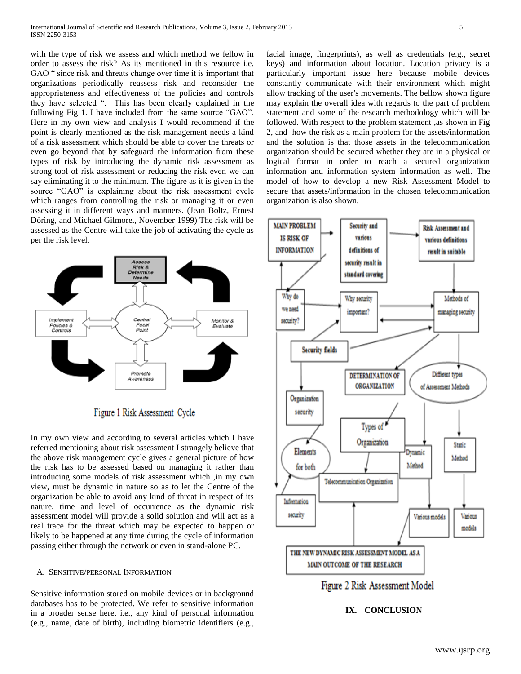with the type of risk we assess and which method we fellow in order to assess the risk? As its mentioned in this resource i.e. GAO " since risk and threats change over time it is important that organizations periodically reassess risk and reconsider the appropriateness and effectiveness of the policies and controls they have selected ". This has been clearly explained in the following Fig 1. I have included from the same source "GAO". Here in my own view and analysis I would recommend if the point is clearly mentioned as the risk management needs a kind of a risk assessment which should be able to cover the threats or even go beyond that by safeguard the information from these types of risk by introducing the dynamic risk assessment as strong tool of risk assessment or reducing the risk even we can say eliminating it to the minimum. The figure as it is given in the source "GAO" is explaining about the risk assessment cycle which ranges from controlling the risk or managing it or even assessing it in different ways and manners. (Jean Boltz, Ernest Döring, and Michael Gilmore., November 1999) The risk will be assessed as the Centre will take the job of activating the cycle as per the risk level.



Figure 1 Risk Assessment Cycle

In my own view and according to several articles which I have referred mentioning about risk assessment I strangely believe that the above risk management cycle gives a general picture of how the risk has to be assessed based on managing it rather than introducing some models of risk assessment which ,in my own view, must be dynamic in nature so as to let the Centre of the organization be able to avoid any kind of threat in respect of its nature, time and level of occurrence as the dynamic risk assessment model will provide a solid solution and will act as a real trace for the threat which may be expected to happen or likely to be happened at any time during the cycle of information passing either through the network or even in stand-alone PC.

#### A. SENSITIVE/PERSONAL INFORMATION

Sensitive information stored on mobile devices or in background databases has to be protected. We refer to sensitive information in a broader sense here, i.e., any kind of personal information (e.g., name, date of birth), including biometric identifiers (e.g., facial image, fingerprints), as well as credentials (e.g., secret keys) and information about location. Location privacy is a particularly important issue here because mobile devices constantly communicate with their environment which might allow tracking of the user's movements. The bellow shown figure may explain the overall idea with regards to the part of problem statement and some of the research methodology which will be followed. With respect to the problem statement ,as shown in Fig 2, and how the risk as a main problem for the assets/information and the solution is that those assets in the telecommunication organization should be secured whether they are in a physical or logical format in order to reach a secured organization information and information system information as well. The model of how to develop a new Risk Assessment Model to secure that assets/information in the chosen telecommunication organization is also shown.



#### **IX. CONCLUSION**